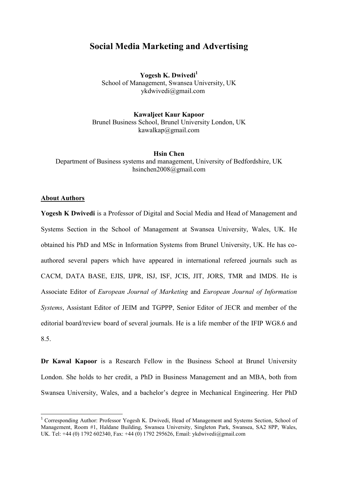# **Social Media Marketing and Advertising**

**Yogesh K. Dwivedi<sup>1</sup>** School of Management, Swansea University, UK ykdwivedi@gmail.com

**Kawaljeet Kaur Kapoor** Brunel Business School, Brunel University London, UK kawalkap@gmail.com

**Hsin Chen** Department of Business systems and management, University of Bedfordshire, UK hsinchen2008@gmail.com

# **About Authors**

**.** 

**Yogesh K Dwivedi** is a Professor of Digital and Social Media and Head of Management and Systems Section in the School of Management at Swansea University, Wales, UK. He obtained his PhD and MSc in Information Systems from Brunel University, UK. He has coauthored several papers which have appeared in international refereed journals such as CACM, DATA BASE, EJIS, IJPR, ISJ, ISF, JCIS, JIT, JORS, TMR and IMDS. He is Associate Editor of *European Journal of Marketing* and *European Journal of Information Systems*, Assistant Editor of JEIM and TGPPP, Senior Editor of JECR and member of the editorial board/review board of several journals. He is a life member of the IFIP WG8.6 and 8.5.

**Dr Kawal Kapoor** is a Research Fellow in the Business School at Brunel University London. She holds to her credit, a PhD in Business Management and an MBA, both from Swansea University, Wales, and a bachelor's degree in Mechanical Engineering. Her PhD

<sup>1</sup> Corresponding Author: Professor Yogesh K. Dwivedi, Head of Management and Systems Section, School of Management, Room #1, Haldane Building, Swansea University, Singleton Park, Swansea, SA2 8PP, Wales, UK. Tel: +44 (0) 1792 602340, Fax: +44 (0) 1792 295626, Email: ykdwivedi@gmail.com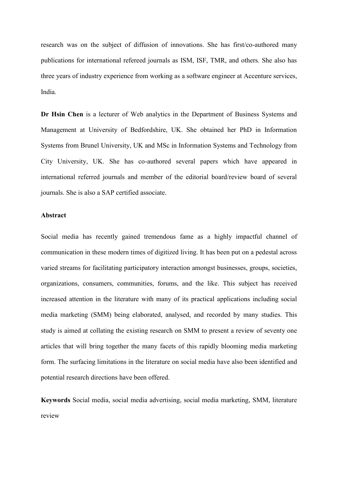research was on the subject of diffusion of innovations. She has first/co-authored many publications for international refereed journals as ISM, ISF, TMR, and others. She also has three years of industry experience from working as a software engineer at Accenture services, India.

**Dr Hsin Chen** is a lecturer of Web analytics in the Department of Business Systems and Management at University of Bedfordshire, UK. She obtained her PhD in Information Systems from Brunel University, UK and MSc in Information Systems and Technology from City University, UK. She has co-authored several papers which have appeared in international referred journals and member of the editorial board/review board of several journals. She is also a SAP certified associate.

# **Abstract**

Social media has recently gained tremendous fame as a highly impactful channel of communication in these modern times of digitized living. It has been put on a pedestal across varied streams for facilitating participatory interaction amongst businesses, groups, societies, organizations, consumers, communities, forums, and the like. This subject has received increased attention in the literature with many of its practical applications including social media marketing (SMM) being elaborated, analysed, and recorded by many studies. This study is aimed at collating the existing research on SMM to present a review of seventy one articles that will bring together the many facets of this rapidly blooming media marketing form. The surfacing limitations in the literature on social media have also been identified and potential research directions have been offered.

**Keywords** Social media, social media advertising, social media marketing, SMM, literature review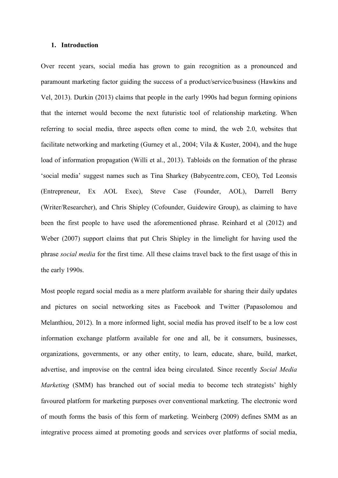## **1. Introduction**

Over recent years, social media has grown to gain recognition as a pronounced and paramount marketing factor guiding the success of a product/service/business (Hawkins and Vel, 2013). Durkin (2013) claims that people in the early 1990s had begun forming opinions that the internet would become the next futuristic tool of relationship marketing. When referring to social media, three aspects often come to mind, the web 2.0, websites that facilitate networking and marketing (Gurney et al., 2004; Vila & Kuster, 2004), and the huge load of information propagation (Willi et al., 2013). Tabloids on the formation of the phrase 'social media' suggest names such as Tina Sharkey (Babycentre.com, CEO), Ted Leonsis (Entrepreneur, Ex AOL Exec), Steve Case (Founder, AOL), Darrell Berry (Writer/Researcher), and Chris Shipley (Cofounder, Guidewire Group), as claiming to have been the first people to have used the aforementioned phrase. Reinhard et al (2012) and Weber (2007) support claims that put Chris Shipley in the limelight for having used the phrase *social media* for the first time. All these claims travel back to the first usage of this in the early 1990s.

Most people regard social media as a mere platform available for sharing their daily updates and pictures on social networking sites as Facebook and Twitter (Papasolomou and Melanthiou, 2012). In a more informed light, social media has proved itself to be a low cost information exchange platform available for one and all, be it consumers, businesses, organizations, governments, or any other entity, to learn, educate, share, build, market, advertise, and improvise on the central idea being circulated. Since recently *Social Media Marketing* (SMM) has branched out of social media to become tech strategists' highly favoured platform for marketing purposes over conventional marketing. The electronic word of mouth forms the basis of this form of marketing. Weinberg (2009) defines SMM as an integrative process aimed at promoting goods and services over platforms of social media,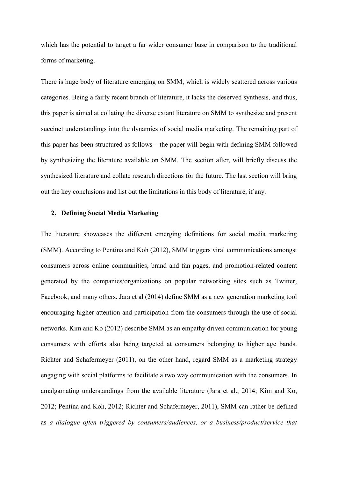which has the potential to target a far wider consumer base in comparison to the traditional forms of marketing.

There is huge body of literature emerging on SMM, which is widely scattered across various categories. Being a fairly recent branch of literature, it lacks the deserved synthesis, and thus, this paper is aimed at collating the diverse extant literature on SMM to synthesize and present succinct understandings into the dynamics of social media marketing. The remaining part of this paper has been structured as follows – the paper will begin with defining SMM followed by synthesizing the literature available on SMM. The section after, will briefly discuss the synthesized literature and collate research directions for the future. The last section will bring out the key conclusions and list out the limitations in this body of literature, if any.

## **2. Defining Social Media Marketing**

The literature showcases the different emerging definitions for social media marketing (SMM). According to Pentina and Koh (2012), SMM triggers viral communications amongst consumers across online communities, brand and fan pages, and promotion-related content generated by the companies/organizations on popular networking sites such as Twitter, Facebook, and many others. Jara et al (2014) define SMM as a new generation marketing tool encouraging higher attention and participation from the consumers through the use of social networks. Kim and Ko (2012) describe SMM as an empathy driven communication for young consumers with efforts also being targeted at consumers belonging to higher age bands. Richter and Schafermeyer (2011), on the other hand, regard SMM as a marketing strategy engaging with social platforms to facilitate a two way communication with the consumers. In amalgamating understandings from the available literature (Jara et al., 2014; Kim and Ko, 2012; Pentina and Koh, 2012; Richter and Schafermeyer, 2011), SMM can rather be defined as *a dialogue often triggered by consumers/audiences, or a business/product/service that*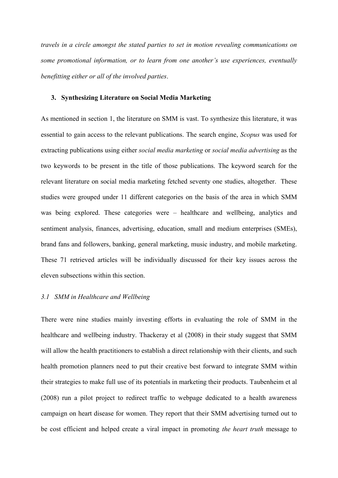*travels in a circle amongst the stated parties to set in motion revealing communications on some promotional information, or to learn from one another's use experiences, eventually benefitting either or all of the involved parties*.

## **3. Synthesizing Literature on Social Media Marketing**

As mentioned in section 1, the literature on SMM is vast. To synthesize this literature, it was essential to gain access to the relevant publications. The search engine, *Scopus* was used for extracting publications using either *social media marketing* or *social media advertising* as the two keywords to be present in the title of those publications. The keyword search for the relevant literature on social media marketing fetched seventy one studies, altogether. These studies were grouped under 11 different categories on the basis of the area in which SMM was being explored. These categories were – healthcare and wellbeing, analytics and sentiment analysis, finances, advertising, education, small and medium enterprises (SMEs), brand fans and followers, banking, general marketing, music industry, and mobile marketing. These 71 retrieved articles will be individually discussed for their key issues across the eleven subsections within this section.

# *3.1 SMM in Healthcare and Wellbeing*

There were nine studies mainly investing efforts in evaluating the role of SMM in the healthcare and wellbeing industry. Thackeray et al (2008) in their study suggest that SMM will allow the health practitioners to establish a direct relationship with their clients, and such health promotion planners need to put their creative best forward to integrate SMM within their strategies to make full use of its potentials in marketing their products. Taubenheim et al (2008) run a pilot project to redirect traffic to webpage dedicated to a health awareness campaign on heart disease for women. They report that their SMM advertising turned out to be cost efficient and helped create a viral impact in promoting *the heart truth* message to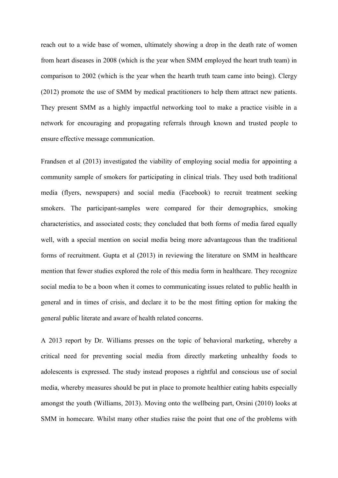reach out to a wide base of women, ultimately showing a drop in the death rate of women from heart diseases in 2008 (which is the year when SMM employed the heart truth team) in comparison to 2002 (which is the year when the hearth truth team came into being). Clergy (2012) promote the use of SMM by medical practitioners to help them attract new patients. They present SMM as a highly impactful networking tool to make a practice visible in a network for encouraging and propagating referrals through known and trusted people to ensure effective message communication.

Frandsen et al (2013) investigated the viability of employing social media for appointing a community sample of smokers for participating in clinical trials. They used both traditional media (flyers, newspapers) and social media (Facebook) to recruit treatment seeking smokers. The participant-samples were compared for their demographics, smoking characteristics, and associated costs; they concluded that both forms of media fared equally well, with a special mention on social media being more advantageous than the traditional forms of recruitment. Gupta et al (2013) in reviewing the literature on SMM in healthcare mention that fewer studies explored the role of this media form in healthcare. They recognize social media to be a boon when it comes to communicating issues related to public health in general and in times of crisis, and declare it to be the most fitting option for making the general public literate and aware of health related concerns.

A 2013 report by Dr. Williams presses on the topic of behavioral marketing, whereby a critical need for preventing social media from directly marketing unhealthy foods to adolescents is expressed. The study instead proposes a rightful and conscious use of social media, whereby measures should be put in place to promote healthier eating habits especially amongst the youth (Williams, 2013). Moving onto the wellbeing part, Orsini (2010) looks at SMM in homecare. Whilst many other studies raise the point that one of the problems with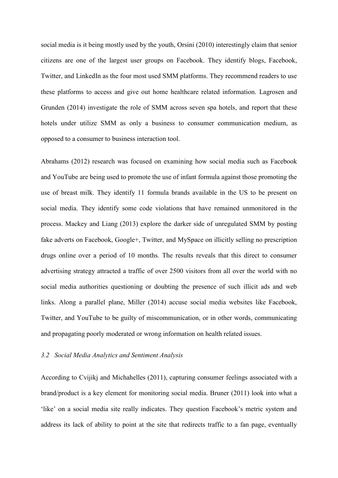social media is it being mostly used by the youth, Orsini (2010) interestingly claim that senior citizens are one of the largest user groups on Facebook. They identify blogs, Facebook, Twitter, and LinkedIn as the four most used SMM platforms. They recommend readers to use these platforms to access and give out home healthcare related information. Lagrosen and Grunden (2014) investigate the role of SMM across seven spa hotels, and report that these hotels under utilize SMM as only a business to consumer communication medium, as opposed to a consumer to business interaction tool.

Abrahams (2012) research was focused on examining how social media such as Facebook and YouTube are being used to promote the use of infant formula against those promoting the use of breast milk. They identify 11 formula brands available in the US to be present on social media. They identify some code violations that have remained unmonitored in the process. Mackey and Liang (2013) explore the darker side of unregulated SMM by posting fake adverts on Facebook, Google+, Twitter, and MySpace on illicitly selling no prescription drugs online over a period of 10 months. The results reveals that this direct to consumer advertising strategy attracted a traffic of over 2500 visitors from all over the world with no social media authorities questioning or doubting the presence of such illicit ads and web links. Along a parallel plane, Miller (2014) accuse social media websites like Facebook, Twitter, and YouTube to be guilty of miscommunication, or in other words, communicating and propagating poorly moderated or wrong information on health related issues.

# *3.2 Social Media Analytics and Sentiment Analysis*

According to Cvijikj and Michahelles (2011), capturing consumer feelings associated with a brand/product is a key element for monitoring social media. Bruner (2011) look into what a 'like' on a social media site really indicates. They question Facebook's metric system and address its lack of ability to point at the site that redirects traffic to a fan page, eventually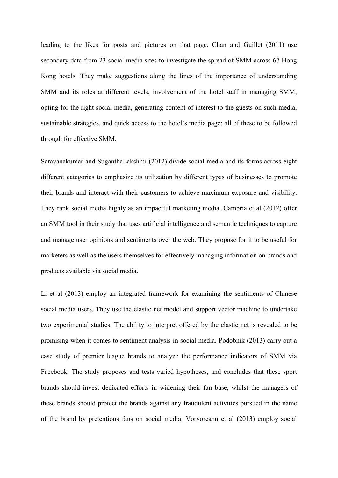leading to the likes for posts and pictures on that page. Chan and Guillet (2011) use secondary data from 23 social media sites to investigate the spread of SMM across 67 Hong Kong hotels. They make suggestions along the lines of the importance of understanding SMM and its roles at different levels, involvement of the hotel staff in managing SMM, opting for the right social media, generating content of interest to the guests on such media, sustainable strategies, and quick access to the hotel's media page; all of these to be followed through for effective SMM.

Saravanakumar and SuganthaLakshmi (2012) divide social media and its forms across eight different categories to emphasize its utilization by different types of businesses to promote their brands and interact with their customers to achieve maximum exposure and visibility. They rank social media highly as an impactful marketing media. Cambria et al (2012) offer an SMM tool in their study that uses artificial intelligence and semantic techniques to capture and manage user opinions and sentiments over the web. They propose for it to be useful for marketers as well as the users themselves for effectively managing information on brands and products available via social media.

Li et al (2013) employ an integrated framework for examining the sentiments of Chinese social media users. They use the elastic net model and support vector machine to undertake two experimental studies. The ability to interpret offered by the elastic net is revealed to be promising when it comes to sentiment analysis in social media. Podobnik (2013) carry out a case study of premier league brands to analyze the performance indicators of SMM via Facebook. The study proposes and tests varied hypotheses, and concludes that these sport brands should invest dedicated efforts in widening their fan base, whilst the managers of these brands should protect the brands against any fraudulent activities pursued in the name of the brand by pretentious fans on social media. Vorvoreanu et al (2013) employ social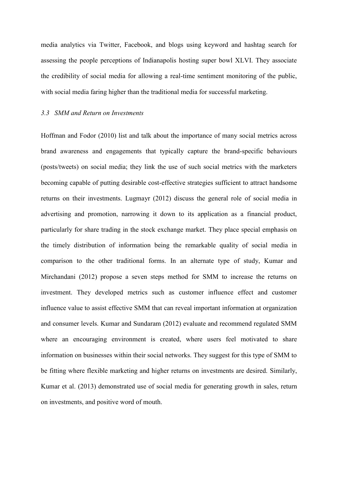media analytics via Twitter, Facebook, and blogs using keyword and hashtag search for assessing the people perceptions of Indianapolis hosting super bowl XLVI. They associate the credibility of social media for allowing a real-time sentiment monitoring of the public, with social media faring higher than the traditional media for successful marketing.

## *3.3 SMM and Return on Investments*

Hoffman and Fodor (2010) list and talk about the importance of many social metrics across brand awareness and engagements that typically capture the brand-specific behaviours (posts/tweets) on social media; they link the use of such social metrics with the marketers becoming capable of putting desirable cost-effective strategies sufficient to attract handsome returns on their investments. Lugmayr (2012) discuss the general role of social media in advertising and promotion, narrowing it down to its application as a financial product, particularly for share trading in the stock exchange market. They place special emphasis on the timely distribution of information being the remarkable quality of social media in comparison to the other traditional forms. In an alternate type of study, Kumar and Mirchandani (2012) propose a seven steps method for SMM to increase the returns on investment. They developed metrics such as customer influence effect and customer influence value to assist effective SMM that can reveal important information at organization and consumer levels. Kumar and Sundaram (2012) evaluate and recommend regulated SMM where an encouraging environment is created, where users feel motivated to share information on businesses within their social networks. They suggest for this type of SMM to be fitting where flexible marketing and higher returns on investments are desired. Similarly, Kumar et al. (2013) demonstrated use of social media for generating growth in sales, return on investments, and positive word of mouth.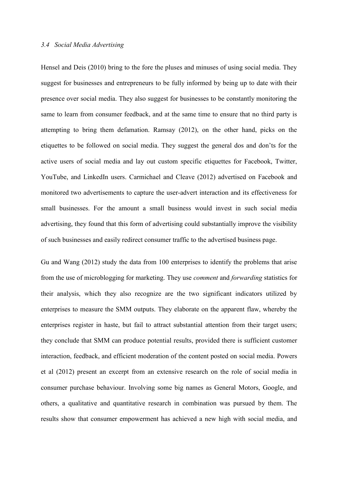#### *3.4 Social Media Advertising*

Hensel and Deis (2010) bring to the fore the pluses and minuses of using social media. They suggest for businesses and entrepreneurs to be fully informed by being up to date with their presence over social media. They also suggest for businesses to be constantly monitoring the same to learn from consumer feedback, and at the same time to ensure that no third party is attempting to bring them defamation. Ramsay (2012), on the other hand, picks on the etiquettes to be followed on social media. They suggest the general dos and don'ts for the active users of social media and lay out custom specific etiquettes for Facebook, Twitter, YouTube, and LinkedIn users. Carmichael and Cleave (2012) advertised on Facebook and monitored two advertisements to capture the user-advert interaction and its effectiveness for small businesses. For the amount a small business would invest in such social media advertising, they found that this form of advertising could substantially improve the visibility of such businesses and easily redirect consumer traffic to the advertised business page.

Gu and Wang (2012) study the data from 100 enterprises to identify the problems that arise from the use of microblogging for marketing. They use *comment* and *forwarding* statistics for their analysis, which they also recognize are the two significant indicators utilized by enterprises to measure the SMM outputs. They elaborate on the apparent flaw, whereby the enterprises register in haste, but fail to attract substantial attention from their target users; they conclude that SMM can produce potential results, provided there is sufficient customer interaction, feedback, and efficient moderation of the content posted on social media. Powers et al (2012) present an excerpt from an extensive research on the role of social media in consumer purchase behaviour. Involving some big names as General Motors, Google, and others, a qualitative and quantitative research in combination was pursued by them. The results show that consumer empowerment has achieved a new high with social media, and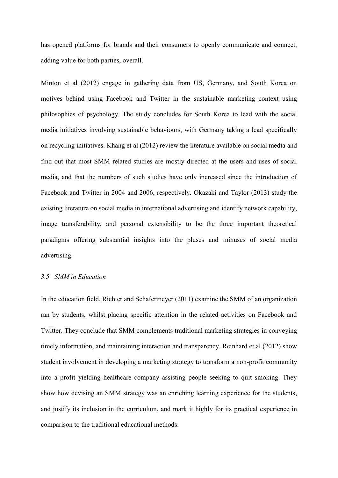has opened platforms for brands and their consumers to openly communicate and connect, adding value for both parties, overall.

Minton et al (2012) engage in gathering data from US, Germany, and South Korea on motives behind using Facebook and Twitter in the sustainable marketing context using philosophies of psychology. The study concludes for South Korea to lead with the social media initiatives involving sustainable behaviours, with Germany taking a lead specifically on recycling initiatives. Khang et al (2012) review the literature available on social media and find out that most SMM related studies are mostly directed at the users and uses of social media, and that the numbers of such studies have only increased since the introduction of Facebook and Twitter in 2004 and 2006, respectively. Okazaki and Taylor (2013) study the existing literature on social media in international advertising and identify network capability, image transferability, and personal extensibility to be the three important theoretical paradigms offering substantial insights into the pluses and minuses of social media advertising.

# *3.5 SMM in Education*

In the education field, Richter and Schafermeyer (2011) examine the SMM of an organization ran by students, whilst placing specific attention in the related activities on Facebook and Twitter. They conclude that SMM complements traditional marketing strategies in conveying timely information, and maintaining interaction and transparency. Reinhard et al (2012) show student involvement in developing a marketing strategy to transform a non-profit community into a profit yielding healthcare company assisting people seeking to quit smoking. They show how devising an SMM strategy was an enriching learning experience for the students, and justify its inclusion in the curriculum, and mark it highly for its practical experience in comparison to the traditional educational methods.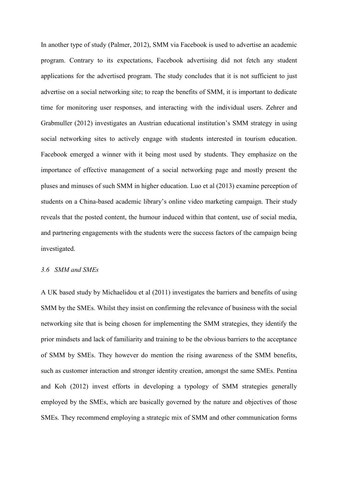In another type of study (Palmer, 2012), SMM via Facebook is used to advertise an academic program. Contrary to its expectations, Facebook advertising did not fetch any student applications for the advertised program. The study concludes that it is not sufficient to just advertise on a social networking site; to reap the benefits of SMM, it is important to dedicate time for monitoring user responses, and interacting with the individual users. Zehrer and Grabmuller (2012) investigates an Austrian educational institution's SMM strategy in using social networking sites to actively engage with students interested in tourism education. Facebook emerged a winner with it being most used by students. They emphasize on the importance of effective management of a social networking page and mostly present the pluses and minuses of such SMM in higher education. Luo et al (2013) examine perception of students on a China-based academic library's online video marketing campaign. Their study reveals that the posted content, the humour induced within that content, use of social media, and partnering engagements with the students were the success factors of the campaign being investigated.

# *3.6 SMM and SMEs*

A UK based study by Michaelidou et al (2011) investigates the barriers and benefits of using SMM by the SMEs. Whilst they insist on confirming the relevance of business with the social networking site that is being chosen for implementing the SMM strategies, they identify the prior mindsets and lack of familiarity and training to be the obvious barriers to the acceptance of SMM by SMEs. They however do mention the rising awareness of the SMM benefits, such as customer interaction and stronger identity creation, amongst the same SMEs. Pentina and Koh (2012) invest efforts in developing a typology of SMM strategies generally employed by the SMEs, which are basically governed by the nature and objectives of those SMEs. They recommend employing a strategic mix of SMM and other communication forms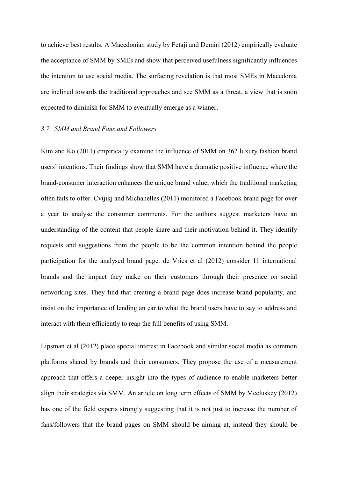to achieve best results. A Macedonian study by Fetaji and Demiri (2012) empirically evaluate the acceptance of SMM by SMEs and show that perceived usefulness significantly influences the intention to use social media. The surfacing revelation is that most SMEs in Macedonia are inclined towards the traditional approaches and see SMM as a threat, a view that is soon expected to diminish for SMM to eventually emerge as a winner.

# *3.7 SMM and Brand Fans and Followers*

Kim and Ko (2011) empirically examine the influence of SMM on 362 luxury fashion brand users' intentions. Their findings show that SMM have a dramatic positive influence where the brand-consumer interaction enhances the unique brand value, which the traditional marketing often fails to offer. Cvijikj and Michahelles (2011) monitored a Facebook brand page for over a year to analyse the consumer comments. For the authors suggest marketers have an understanding of the content that people share and their motivation behind it. They identify requests and suggestions from the people to be the common intention behind the people participation for the analysed brand page. de Vries et al (2012) consider 11 international brands and the impact they make on their customers through their presence on social networking sites. They find that creating a brand page does increase brand popularity, and insist on the importance of lending an ear to what the brand users have to say to address and interact with them efficiently to reap the full benefits of using SMM.

Lipsman et al (2012) place special interest in Facebook and similar social media as common platforms shared by brands and their consumers. They propose the use of a measurement approach that offers a deeper insight into the types of audience to enable marketers better align their strategies via SMM. An article on long term effects of SMM by Mccluskey (2012) has one of the field experts strongly suggesting that it is not just to increase the number of fans/followers that the brand pages on SMM should be aiming at, instead they should be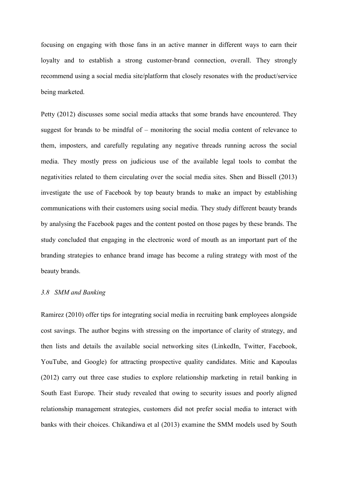focusing on engaging with those fans in an active manner in different ways to earn their loyalty and to establish a strong customer-brand connection, overall. They strongly recommend using a social media site/platform that closely resonates with the product/service being marketed.

Petty (2012) discusses some social media attacks that some brands have encountered. They suggest for brands to be mindful of – monitoring the social media content of relevance to them, imposters, and carefully regulating any negative threads running across the social media. They mostly press on judicious use of the available legal tools to combat the negativities related to them circulating over the social media sites. Shen and Bissell (2013) investigate the use of Facebook by top beauty brands to make an impact by establishing communications with their customers using social media. They study different beauty brands by analysing the Facebook pages and the content posted on those pages by these brands. The study concluded that engaging in the electronic word of mouth as an important part of the branding strategies to enhance brand image has become a ruling strategy with most of the beauty brands.

# *3.8 SMM and Banking*

Ramirez (2010) offer tips for integrating social media in recruiting bank employees alongside cost savings. The author begins with stressing on the importance of clarity of strategy, and then lists and details the available social networking sites (LinkedIn, Twitter, Facebook, YouTube, and Google) for attracting prospective quality candidates. Mitic and Kapoulas (2012) carry out three case studies to explore relationship marketing in retail banking in South East Europe. Their study revealed that owing to security issues and poorly aligned relationship management strategies, customers did not prefer social media to interact with banks with their choices. Chikandiwa et al (2013) examine the SMM models used by South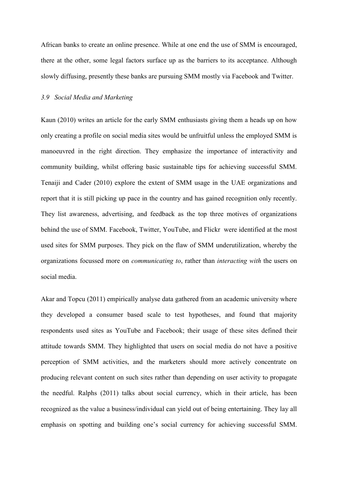African banks to create an online presence. While at one end the use of SMM is encouraged, there at the other, some legal factors surface up as the barriers to its acceptance. Although slowly diffusing, presently these banks are pursuing SMM mostly via Facebook and Twitter.

## *3.9 Social Media and Marketing*

Kaun (2010) writes an article for the early SMM enthusiasts giving them a heads up on how only creating a profile on social media sites would be unfruitful unless the employed SMM is manoeuvred in the right direction. They emphasize the importance of interactivity and community building, whilst offering basic sustainable tips for achieving successful SMM. Tenaiji and Cader (2010) explore the extent of SMM usage in the UAE organizations and report that it is still picking up pace in the country and has gained recognition only recently. They list awareness, advertising, and feedback as the top three motives of organizations behind the use of SMM. Facebook, Twitter, YouTube, and Flickr were identified at the most used sites for SMM purposes. They pick on the flaw of SMM underutilization, whereby the organizations focussed more on *communicating to*, rather than *interacting with* the users on social media.

Akar and Topcu (2011) empirically analyse data gathered from an academic university where they developed a consumer based scale to test hypotheses, and found that majority respondents used sites as YouTube and Facebook; their usage of these sites defined their attitude towards SMM. They highlighted that users on social media do not have a positive perception of SMM activities, and the marketers should more actively concentrate on producing relevant content on such sites rather than depending on user activity to propagate the needful. Ralphs (2011) talks about social currency, which in their article, has been recognized as the value a business/individual can yield out of being entertaining. They lay all emphasis on spotting and building one's social currency for achieving successful SMM.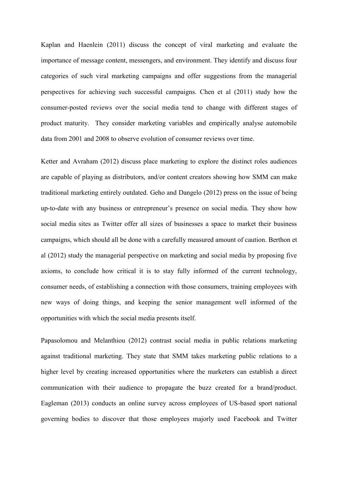Kaplan and Haenlein (2011) discuss the concept of viral marketing and evaluate the importance of message content, messengers, and environment. They identify and discuss four categories of such viral marketing campaigns and offer suggestions from the managerial perspectives for achieving such successful campaigns. Chen et al (2011) study how the consumer-posted reviews over the social media tend to change with different stages of product maturity. They consider marketing variables and empirically analyse automobile data from 2001 and 2008 to observe evolution of consumer reviews over time.

Ketter and Avraham (2012) discuss place marketing to explore the distinct roles audiences are capable of playing as distributors, and/or content creators showing how SMM can make traditional marketing entirely outdated. Geho and Dangelo (2012) press on the issue of being up-to-date with any business or entrepreneur's presence on social media. They show how social media sites as Twitter offer all sizes of businesses a space to market their business campaigns, which should all be done with a carefully measured amount of caution. Berthon et al (2012) study the managerial perspective on marketing and social media by proposing five axioms, to conclude how critical it is to stay fully informed of the current technology, consumer needs, of establishing a connection with those consumers, training employees with new ways of doing things, and keeping the senior management well informed of the opportunities with which the social media presents itself.

Papasolomou and Melanthiou (2012) contrast social media in public relations marketing against traditional marketing. They state that SMM takes marketing public relations to a higher level by creating increased opportunities where the marketers can establish a direct communication with their audience to propagate the buzz created for a brand/product. Eagleman (2013) conducts an online survey across employees of US-based sport national governing bodies to discover that those employees majorly used Facebook and Twitter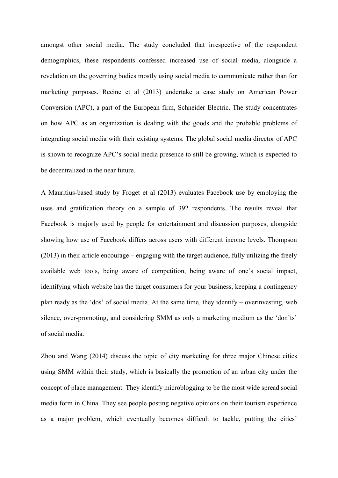amongst other social media. The study concluded that irrespective of the respondent demographics, these respondents confessed increased use of social media, alongside a revelation on the governing bodies mostly using social media to communicate rather than for marketing purposes. Recine et al (2013) undertake a case study on American Power Conversion (APC), a part of the European firm, Schneider Electric. The study concentrates on how APC as an organization is dealing with the goods and the probable problems of integrating social media with their existing systems. The global social media director of APC is shown to recognize APC's social media presence to still be growing, which is expected to be decentralized in the near future.

A Mauritius-based study by Froget et al (2013) evaluates Facebook use by employing the uses and gratification theory on a sample of 392 respondents. The results reveal that Facebook is majorly used by people for entertainment and discussion purposes, alongside showing how use of Facebook differs across users with different income levels. Thompson (2013) in their article encourage – engaging with the target audience, fully utilizing the freely available web tools, being aware of competition, being aware of one's social impact, identifying which website has the target consumers for your business, keeping a contingency plan ready as the 'dos' of social media. At the same time, they identify – overinvesting, web silence, over-promoting, and considering SMM as only a marketing medium as the 'don'ts' of social media.

Zhou and Wang (2014) discuss the topic of city marketing for three major Chinese cities using SMM within their study, which is basically the promotion of an urban city under the concept of place management. They identify microblogging to be the most wide spread social media form in China. They see people posting negative opinions on their tourism experience as a major problem, which eventually becomes difficult to tackle, putting the cities'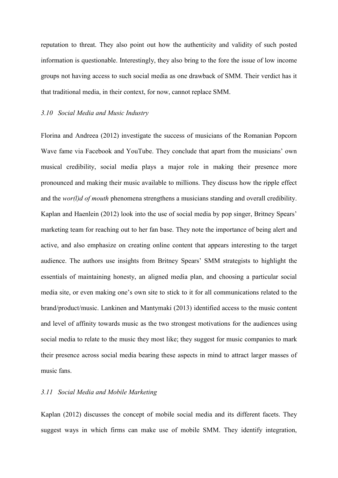reputation to threat. They also point out how the authenticity and validity of such posted information is questionable. Interestingly, they also bring to the fore the issue of low income groups not having access to such social media as one drawback of SMM. Their verdict has it that traditional media, in their context, for now, cannot replace SMM.

#### *3.10 Social Media and Music Industry*

Florina and Andreea (2012) investigate the success of musicians of the Romanian Popcorn Wave fame via Facebook and YouTube. They conclude that apart from the musicians' own musical credibility, social media plays a major role in making their presence more pronounced and making their music available to millions. They discuss how the ripple effect and the *wor(l)d of mouth* phenomena strengthens a musicians standing and overall credibility. Kaplan and Haenlein (2012) look into the use of social media by pop singer, Britney Spears' marketing team for reaching out to her fan base. They note the importance of being alert and active, and also emphasize on creating online content that appears interesting to the target audience. The authors use insights from Britney Spears' SMM strategists to highlight the essentials of maintaining honesty, an aligned media plan, and choosing a particular social media site, or even making one's own site to stick to it for all communications related to the brand/product/music. Lankinen and Mantymaki (2013) identified access to the music content and level of affinity towards music as the two strongest motivations for the audiences using social media to relate to the music they most like; they suggest for music companies to mark their presence across social media bearing these aspects in mind to attract larger masses of music fans.

# *3.11 Social Media and Mobile Marketing*

Kaplan (2012) discusses the concept of mobile social media and its different facets. They suggest ways in which firms can make use of mobile SMM. They identify integration,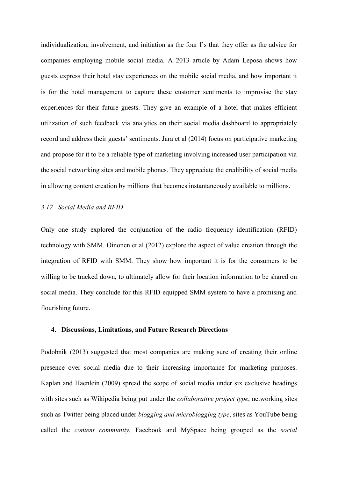individualization, involvement, and initiation as the four I's that they offer as the advice for companies employing mobile social media. A 2013 article by Adam Leposa shows how guests express their hotel stay experiences on the mobile social media, and how important it is for the hotel management to capture these customer sentiments to improvise the stay experiences for their future guests. They give an example of a hotel that makes efficient utilization of such feedback via analytics on their social media dashboard to appropriately record and address their guests' sentiments. Jara et al (2014) focus on participative marketing and propose for it to be a reliable type of marketing involving increased user participation via the social networking sites and mobile phones. They appreciate the credibility of social media in allowing content creation by millions that becomes instantaneously available to millions.

## *3.12 Social Media and RFID*

Only one study explored the conjunction of the radio frequency identification (RFID) technology with SMM. Oinonen et al (2012) explore the aspect of value creation through the integration of RFID with SMM. They show how important it is for the consumers to be willing to be tracked down, to ultimately allow for their location information to be shared on social media. They conclude for this RFID equipped SMM system to have a promising and flourishing future.

#### **4. Discussions, Limitations, and Future Research Directions**

Podobnik (2013) suggested that most companies are making sure of creating their online presence over social media due to their increasing importance for marketing purposes. Kaplan and Haenlein (2009) spread the scope of social media under six exclusive headings with sites such as Wikipedia being put under the *collaborative project type*, networking sites such as Twitter being placed under *blogging and microblogging type*, sites as YouTube being called the *content community*, Facebook and MySpace being grouped as the *social*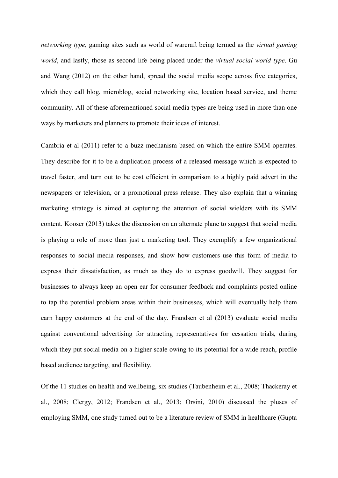*networking type*, gaming sites such as world of warcraft being termed as the *virtual gaming world*, and lastly, those as second life being placed under the *virtual social world type*. Gu and Wang (2012) on the other hand, spread the social media scope across five categories, which they call blog, microblog, social networking site, location based service, and theme community. All of these aforementioned social media types are being used in more than one ways by marketers and planners to promote their ideas of interest.

Cambria et al (2011) refer to a buzz mechanism based on which the entire SMM operates. They describe for it to be a duplication process of a released message which is expected to travel faster, and turn out to be cost efficient in comparison to a highly paid advert in the newspapers or television, or a promotional press release. They also explain that a winning marketing strategy is aimed at capturing the attention of social wielders with its SMM content. Kooser (2013) takes the discussion on an alternate plane to suggest that social media is playing a role of more than just a marketing tool. They exemplify a few organizational responses to social media responses, and show how customers use this form of media to express their dissatisfaction, as much as they do to express goodwill. They suggest for businesses to always keep an open ear for consumer feedback and complaints posted online to tap the potential problem areas within their businesses, which will eventually help them earn happy customers at the end of the day. Frandsen et al (2013) evaluate social media against conventional advertising for attracting representatives for cessation trials, during which they put social media on a higher scale owing to its potential for a wide reach, profile based audience targeting, and flexibility.

Of the 11 studies on health and wellbeing, six studies (Taubenheim et al., 2008; Thackeray et al., 2008; Clergy, 2012; Frandsen et al., 2013; Orsini, 2010) discussed the pluses of employing SMM, one study turned out to be a literature review of SMM in healthcare (Gupta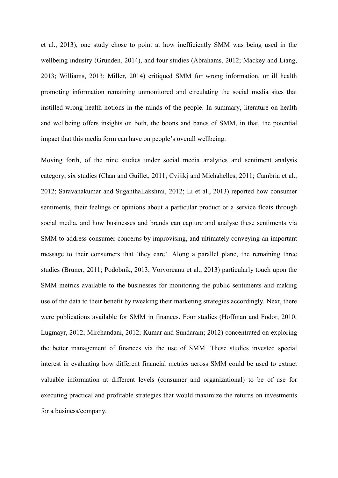et al., 2013), one study chose to point at how inefficiently SMM was being used in the wellbeing industry (Grunden, 2014), and four studies (Abrahams, 2012; Mackey and Liang, 2013; Williams, 2013; Miller, 2014) critiqued SMM for wrong information, or ill health promoting information remaining unmonitored and circulating the social media sites that instilled wrong health notions in the minds of the people. In summary, literature on health and wellbeing offers insights on both, the boons and banes of SMM, in that, the potential impact that this media form can have on people's overall wellbeing.

Moving forth, of the nine studies under social media analytics and sentiment analysis category, six studies (Chan and Guillet, 2011; Cvijikj and Michahelles, 2011; Cambria et al., 2012; Saravanakumar and SuganthaLakshmi, 2012; Li et al., 2013) reported how consumer sentiments, their feelings or opinions about a particular product or a service floats through social media, and how businesses and brands can capture and analyse these sentiments via SMM to address consumer concerns by improvising, and ultimately conveying an important message to their consumers that 'they care'. Along a parallel plane, the remaining three studies (Bruner, 2011; Podobnik, 2013; Vorvoreanu et al., 2013) particularly touch upon the SMM metrics available to the businesses for monitoring the public sentiments and making use of the data to their benefit by tweaking their marketing strategies accordingly. Next, there were publications available for SMM in finances. Four studies (Hoffman and Fodor, 2010; Lugmayr, 2012; Mirchandani, 2012; Kumar and Sundaram; 2012) concentrated on exploring the better management of finances via the use of SMM. These studies invested special interest in evaluating how different financial metrics across SMM could be used to extract valuable information at different levels (consumer and organizational) to be of use for executing practical and profitable strategies that would maximize the returns on investments for a business/company.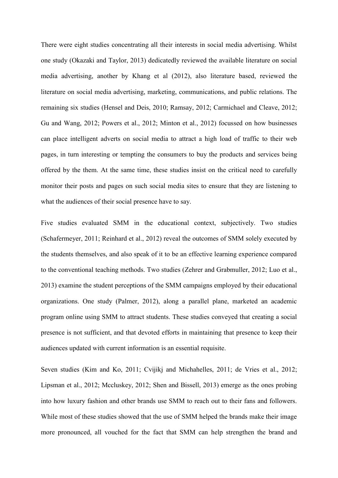There were eight studies concentrating all their interests in social media advertising. Whilst one study (Okazaki and Taylor, 2013) dedicatedly reviewed the available literature on social media advertising, another by Khang et al (2012), also literature based, reviewed the literature on social media advertising, marketing, communications, and public relations. The remaining six studies (Hensel and Deis, 2010; Ramsay, 2012; Carmichael and Cleave, 2012; Gu and Wang, 2012; Powers et al., 2012; Minton et al., 2012) focussed on how businesses can place intelligent adverts on social media to attract a high load of traffic to their web pages, in turn interesting or tempting the consumers to buy the products and services being offered by the them. At the same time, these studies insist on the critical need to carefully monitor their posts and pages on such social media sites to ensure that they are listening to what the audiences of their social presence have to say.

Five studies evaluated SMM in the educational context, subjectively. Two studies (Schafermeyer, 2011; Reinhard et al., 2012) reveal the outcomes of SMM solely executed by the students themselves, and also speak of it to be an effective learning experience compared to the conventional teaching methods. Two studies (Zehrer and Grabmuller, 2012; Luo et al., 2013) examine the student perceptions of the SMM campaigns employed by their educational organizations. One study (Palmer, 2012), along a parallel plane, marketed an academic program online using SMM to attract students. These studies conveyed that creating a social presence is not sufficient, and that devoted efforts in maintaining that presence to keep their audiences updated with current information is an essential requisite.

Seven studies (Kim and Ko, 2011; Cvijikj and Michahelles, 2011; de Vries et al., 2012; Lipsman et al., 2012; Mccluskey, 2012; Shen and Bissell, 2013) emerge as the ones probing into how luxury fashion and other brands use SMM to reach out to their fans and followers. While most of these studies showed that the use of SMM helped the brands make their image more pronounced, all vouched for the fact that SMM can help strengthen the brand and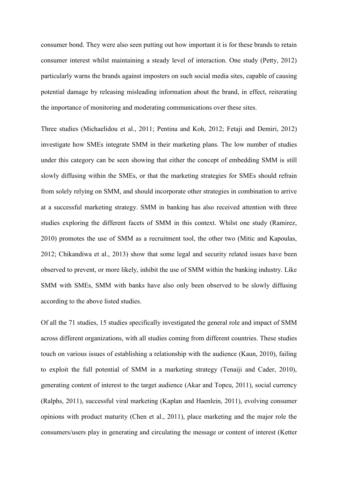consumer bond. They were also seen putting out how important it is for these brands to retain consumer interest whilst maintaining a steady level of interaction. One study (Petty, 2012) particularly warns the brands against imposters on such social media sites, capable of causing potential damage by releasing misleading information about the brand, in effect, reiterating the importance of monitoring and moderating communications over these sites.

Three studies (Michaelidou et al., 2011; Pentina and Koh, 2012; Fetaji and Demiri, 2012) investigate how SMEs integrate SMM in their marketing plans. The low number of studies under this category can be seen showing that either the concept of embedding SMM is still slowly diffusing within the SMEs, or that the marketing strategies for SMEs should refrain from solely relying on SMM, and should incorporate other strategies in combination to arrive at a successful marketing strategy. SMM in banking has also received attention with three studies exploring the different facets of SMM in this context. Whilst one study (Ramirez, 2010) promotes the use of SMM as a recruitment tool, the other two (Mitic and Kapoulas, 2012; Chikandiwa et al., 2013) show that some legal and security related issues have been observed to prevent, or more likely, inhibit the use of SMM within the banking industry. Like SMM with SMEs, SMM with banks have also only been observed to be slowly diffusing according to the above listed studies.

Of all the 71 studies, 15 studies specifically investigated the general role and impact of SMM across different organizations, with all studies coming from different countries. These studies touch on various issues of establishing a relationship with the audience (Kaun, 2010), failing to exploit the full potential of SMM in a marketing strategy (Tenaiji and Cader, 2010), generating content of interest to the target audience (Akar and Topcu, 2011), social currency (Ralphs, 2011), successful viral marketing (Kaplan and Haenlein, 2011), evolving consumer opinions with product maturity (Chen et al., 2011), place marketing and the major role the consumers/users play in generating and circulating the message or content of interest (Ketter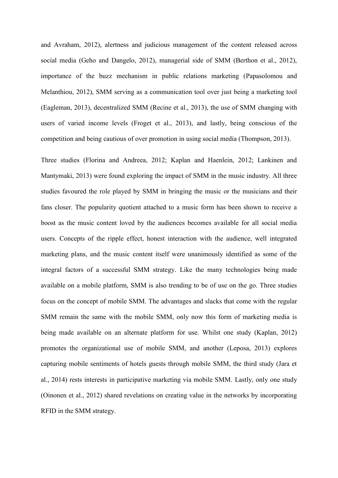and Avraham, 2012), alertness and judicious management of the content released across social media (Geho and Dangelo, 2012), managerial side of SMM (Berthon et al., 2012), importance of the buzz mechanism in public relations marketing (Papasolomou and Melanthiou, 2012), SMM serving as a communication tool over just being a marketing tool (Eagleman, 2013), decentralized SMM (Recine et al., 2013), the use of SMM changing with users of varied income levels (Froget et al., 2013), and lastly, being conscious of the competition and being cautious of over promotion in using social media (Thompson, 2013).

Three studies (Florina and Andreea, 2012; Kaplan and Haenlein, 2012; Lankinen and Mantymaki, 2013) were found exploring the impact of SMM in the music industry. All three studies favoured the role played by SMM in bringing the music or the musicians and their fans closer. The popularity quotient attached to a music form has been shown to receive a boost as the music content loved by the audiences becomes available for all social media users. Concepts of the ripple effect, honest interaction with the audience, well integrated marketing plans, and the music content itself were unanimously identified as some of the integral factors of a successful SMM strategy. Like the many technologies being made available on a mobile platform, SMM is also trending to be of use on the go. Three studies focus on the concept of mobile SMM. The advantages and slacks that come with the regular SMM remain the same with the mobile SMM, only now this form of marketing media is being made available on an alternate platform for use. Whilst one study (Kaplan, 2012) promotes the organizational use of mobile SMM, and another (Leposa, 2013) explores capturing mobile sentiments of hotels guests through mobile SMM, the third study (Jara et al., 2014) rests interests in participative marketing via mobile SMM. Lastly, only one study (Oinonen et al., 2012) shared revelations on creating value in the networks by incorporating RFID in the SMM strategy.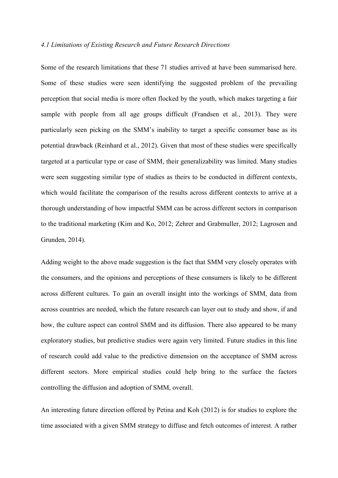#### *4.1 Limitations of Existing Research and Future Research Directions*

Some of the research limitations that these 71 studies arrived at have been summarised here. Some of these studies were seen identifying the suggested problem of the prevailing perception that social media is more often flocked by the youth, which makes targeting a fair sample with people from all age groups difficult (Frandsen et al., 2013). They were particularly seen picking on the SMM's inability to target a specific consumer base as its potential drawback (Reinhard et al., 2012). Given that most of these studies were specifically targeted at a particular type or case of SMM, their generalizability was limited. Many studies were seen suggesting similar type of studies as theirs to be conducted in different contexts, which would facilitate the comparison of the results across different contexts to arrive at a thorough understanding of how impactful SMM can be across different sectors in comparison to the traditional marketing (Kim and Ko, 2012; Zehrer and Grabmuller, 2012; Lagrosen and Grunden, 2014).

Adding weight to the above made suggestion is the fact that SMM very closely operates with the consumers, and the opinions and perceptions of these consumers is likely to be different across different cultures. To gain an overall insight into the workings of SMM, data from across countries are needed, which the future research can layer out to study and show, if and how, the culture aspect can control SMM and its diffusion. There also appeared to be many exploratory studies, but predictive studies were again very limited. Future studies in this line of research could add value to the predictive dimension on the acceptance of SMM across different sectors. More empirical studies could help bring to the surface the factors controlling the diffusion and adoption of SMM, overall.

An interesting future direction offered by Petina and Koh (2012) is for studies to explore the time associated with a given SMM strategy to diffuse and fetch outcomes of interest. A rather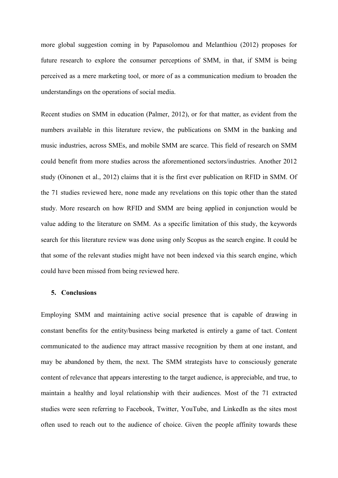more global suggestion coming in by Papasolomou and Melanthiou (2012) proposes for future research to explore the consumer perceptions of SMM, in that, if SMM is being perceived as a mere marketing tool, or more of as a communication medium to broaden the understandings on the operations of social media.

Recent studies on SMM in education (Palmer, 2012), or for that matter, as evident from the numbers available in this literature review, the publications on SMM in the banking and music industries, across SMEs, and mobile SMM are scarce. This field of research on SMM could benefit from more studies across the aforementioned sectors/industries. Another 2012 study (Oinonen et al., 2012) claims that it is the first ever publication on RFID in SMM. Of the 71 studies reviewed here, none made any revelations on this topic other than the stated study. More research on how RFID and SMM are being applied in conjunction would be value adding to the literature on SMM. As a specific limitation of this study, the keywords search for this literature review was done using only Scopus as the search engine. It could be that some of the relevant studies might have not been indexed via this search engine, which could have been missed from being reviewed here.

## **5. Conclusions**

Employing SMM and maintaining active social presence that is capable of drawing in constant benefits for the entity/business being marketed is entirely a game of tact. Content communicated to the audience may attract massive recognition by them at one instant, and may be abandoned by them, the next. The SMM strategists have to consciously generate content of relevance that appears interesting to the target audience, is appreciable, and true, to maintain a healthy and loyal relationship with their audiences. Most of the 71 extracted studies were seen referring to Facebook, Twitter, YouTube, and LinkedIn as the sites most often used to reach out to the audience of choice. Given the people affinity towards these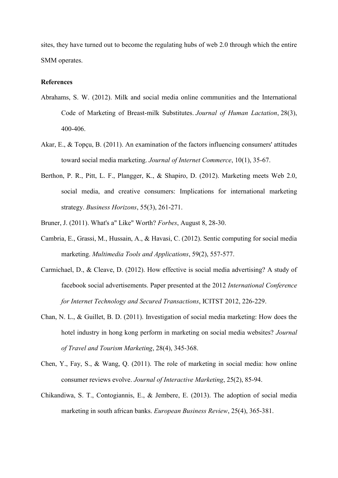sites, they have turned out to become the regulating hubs of web 2.0 through which the entire SMM operates.

# **References**

- Abrahams, S. W. (2012). Milk and social media online communities and the International Code of Marketing of Breast-milk Substitutes. *Journal of Human Lactation*, 28(3), 400-406.
- Akar, E., & Topçu, B. (2011). An examination of the factors influencing consumers' attitudes toward social media marketing. *Journal of Internet Commerce*, 10(1), 35-67.
- Berthon, P. R., Pitt, L. F., Plangger, K., & Shapiro, D. (2012). Marketing meets Web 2.0, social media, and creative consumers: Implications for international marketing strategy. *Business Horizons*, 55(3), 261-271.
- Bruner, J. (2011). What's a" Like" Worth? *Forbes*, August 8, 28-30.
- Cambria, E., Grassi, M., Hussain, A., & Havasi, C. (2012). Sentic computing for social media marketing. *Multimedia Tools and Applications*, 59(2), 557-577.
- Carmichael, D., & Cleave, D. (2012). How effective is social media advertising? A study of facebook social advertisements. Paper presented at the 2012 *International Conference for Internet Technology and Secured Transactions*, ICITST 2012, 226-229.
- Chan, N. L., & Guillet, B. D. (2011). Investigation of social media marketing: How does the hotel industry in hong kong perform in marketing on social media websites? *Journal of Travel and Tourism Marketing*, 28(4), 345-368.
- Chen, Y., Fay, S., & Wang, Q. (2011). The role of marketing in social media: how online consumer reviews evolve. *Journal of Interactive Marketing*, 25(2), 85-94.
- Chikandiwa, S. T., Contogiannis, E., & Jembere, E. (2013). The adoption of social media marketing in south african banks. *European Business Review*, 25(4), 365-381.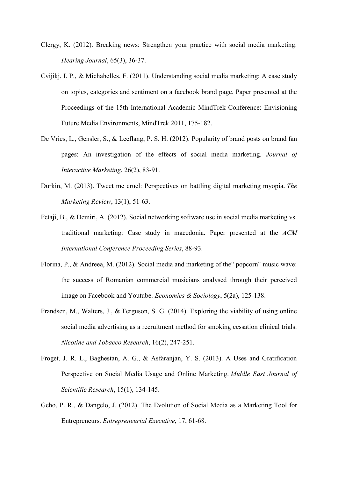- Clergy, K. (2012). Breaking news: Strengthen your practice with social media marketing. *Hearing Journal*, 65(3), 36-37.
- Cvijikj, I. P., & Michahelles, F. (2011). Understanding social media marketing: A case study on topics, categories and sentiment on a facebook brand page. Paper presented at the Proceedings of the 15th International Academic MindTrek Conference: Envisioning Future Media Environments, MindTrek 2011, 175-182.
- De Vries, L., Gensler, S., & Leeflang, P. S. H. (2012). Popularity of brand posts on brand fan pages: An investigation of the effects of social media marketing. *Journal of Interactive Marketing*, 26(2), 83-91.
- Durkin, M. (2013). Tweet me cruel: Perspectives on battling digital marketing myopia. *The Marketing Review*, 13(1), 51-63.
- Fetaji, B., & Demiri, A. (2012). Social networking software use in social media marketing vs. traditional marketing: Case study in macedonia. Paper presented at the *ACM International Conference Proceeding Series*, 88-93.
- Florina, P., & Andreea, M. (2012). Social media and marketing of the" popcorn" music wave: the success of Romanian commercial musicians analysed through their perceived image on Facebook and Youtube. *Economics & Sociology*, 5(2a), 125-138.
- Frandsen, M., Walters, J., & Ferguson, S. G. (2014). Exploring the viability of using online social media advertising as a recruitment method for smoking cessation clinical trials. *Nicotine and Tobacco Research*, 16(2), 247-251.
- Froget, J. R. L., Baghestan, A. G., & Asfaranjan, Y. S. (2013). A Uses and Gratification Perspective on Social Media Usage and Online Marketing. *Middle East Journal of Scientific Research*, 15(1), 134-145.
- Geho, P. R., & Dangelo, J. (2012). The Evolution of Social Media as a Marketing Tool for Entrepreneurs. *Entrepreneurial Executive*, 17, 61-68.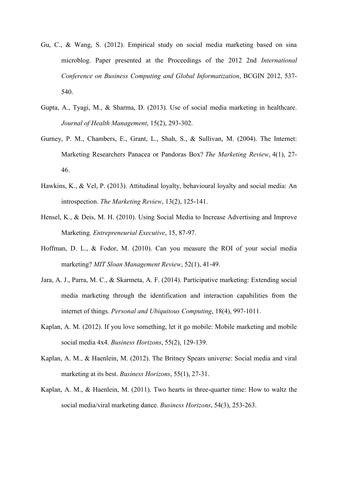- Gu, C., & Wang, S. (2012). Empirical study on social media marketing based on sina microblog. Paper presented at the Proceedings of the 2012 2nd *International Conference on Business Computing and Global Informatization*, BCGIN 2012, 537- 540.
- Gupta, A., Tyagi, M., & Sharma, D. (2013). Use of social media marketing in healthcare. *Journal of Health Management*, 15(2), 293-302.
- Gurney, P. M., Chambers, E., Grant, L., Shah, S., & Sullivan, M. (2004). The Internet: Marketing Researchers Panacea or Pandoras Box? *The Marketing Review*, 4(1), 27- 46.
- Hawkins, K., & Vel, P. (2013). Attitudinal loyalty, behavioural loyalty and social media: An introspection. *The Marketing Review*, 13(2), 125-141.
- Hensel, K., & Deis, M. H. (2010). Using Social Media to Increase Advertising and Improve Marketing*. Entrepreneurial Executive*, 15, 87-97.
- Hoffman, D. L., & Fodor, M. (2010). Can you measure the ROI of your social media marketing? *MIT Sloan Management Review*, 52(1), 41-49.
- Jara, A. J., Parra, M. C., & Skarmeta, A. F. (2014). Participative marketing: Extending social media marketing through the identification and interaction capabilities from the internet of things. *Personal and Ubiquitous Computing*, 18(4), 997-1011.
- Kaplan, A. M. (2012). If you love something, let it go mobile: Mobile marketing and mobile social media 4x4. *Business Horizons*, 55(2), 129-139.
- Kaplan, A. M., & Haenlein, M. (2012). The Britney Spears universe: Social media and viral marketing at its best. *Business Horizons*, 55(1), 27-31.
- Kaplan, A. M., & Haenlein, M. (2011). Two hearts in three-quarter time: How to waltz the social media/viral marketing dance. *Business Horizons*, 54(3), 253-263.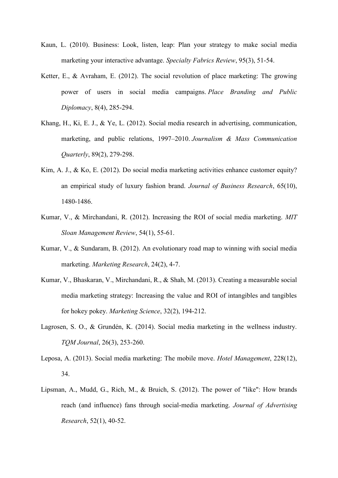- Kaun, L. (2010). Business: Look, listen, leap: Plan your strategy to make social media marketing your interactive advantage. *Specialty Fabrics Review*, 95(3), 51-54.
- Ketter, E., & Avraham, E. (2012). The social revolution of place marketing: The growing power of users in social media campaigns. *Place Branding and Public Diplomacy*, 8(4), 285-294.
- Khang, H., Ki, E. J., & Ye, L. (2012). Social media research in advertising, communication, marketing, and public relations, 1997–2010. *Journalism & Mass Communication Quarterly*, 89(2), 279-298.
- Kim, A. J., & Ko, E. (2012). Do social media marketing activities enhance customer equity? an empirical study of luxury fashion brand. *Journal of Business Research*, 65(10), 1480-1486.
- Kumar, V., & Mirchandani, R. (2012). Increasing the ROI of social media marketing. *MIT Sloan Management Review*, 54(1), 55-61.
- Kumar, V., & Sundaram, B. (2012). An evolutionary road map to winning with social media marketing. *Marketing Research*, 24(2), 4-7.
- Kumar, V., Bhaskaran, V., Mirchandani, R., & Shah, M. (2013). Creating a measurable social media marketing strategy: Increasing the value and ROI of intangibles and tangibles for hokey pokey. *Marketing Science*, 32(2), 194-212.
- Lagrosen, S. O., & Grundén, K. (2014). Social media marketing in the wellness industry. *TQM Journal*, 26(3), 253-260.
- Leposa, A. (2013). Social media marketing: The mobile move. *Hotel Management*, 228(12), 34.
- Lipsman, A., Mudd, G., Rich, M., & Bruich, S. (2012). The power of "like": How brands reach (and influence) fans through social-media marketing. *Journal of Advertising Research*, 52(1), 40-52.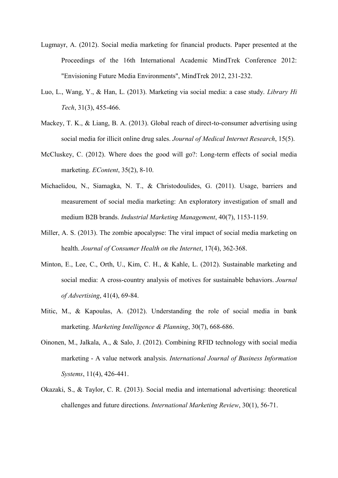- Lugmayr, A. (2012). Social media marketing for financial products. Paper presented at the Proceedings of the 16th International Academic MindTrek Conference 2012: "Envisioning Future Media Environments", MindTrek 2012, 231-232.
- Luo, L., Wang, Y., & Han, L. (2013). Marketing via social media: a case study. *Library Hi Tech*, 31(3), 455-466.
- Mackey, T. K., & Liang, B. A. (2013). Global reach of direct-to-consumer advertising using social media for illicit online drug sales. *Journal of Medical Internet Research*, 15(5).
- McCluskey, C. (2012). Where does the good will go?: Long-term effects of social media marketing. *EContent*, 35(2), 8-10.
- Michaelidou, N., Siamagka, N. T., & Christodoulides, G. (2011). Usage, barriers and measurement of social media marketing: An exploratory investigation of small and medium B2B brands. *Industrial Marketing Management*, 40(7), 1153-1159.
- Miller, A. S. (2013). The zombie apocalypse: The viral impact of social media marketing on health. *Journal of Consumer Health on the Internet*, 17(4), 362-368.
- Minton, E., Lee, C., Orth, U., Kim, C. H., & Kahle, L. (2012). Sustainable marketing and social media: A cross-country analysis of motives for sustainable behaviors. *Journal of Advertising*, 41(4), 69-84.
- Mitic, M., & Kapoulas, A. (2012). Understanding the role of social media in bank marketing. *Marketing Intelligence & Planning*, 30(7), 668-686.
- Oinonen, M., Jalkala, A., & Salo, J. (2012). Combining RFID technology with social media marketing - A value network analysis. *International Journal of Business Information Systems*, 11(4), 426-441.
- Okazaki, S., & Taylor, C. R. (2013). Social media and international advertising: theoretical challenges and future directions. *International Marketing Review*, 30(1), 56-71.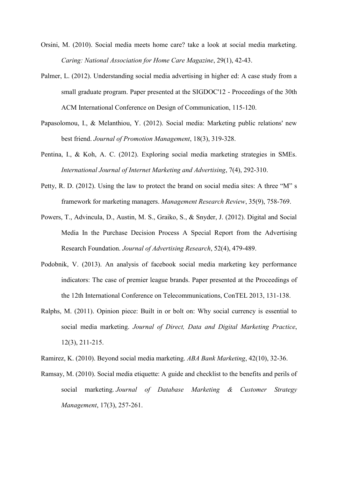- Orsini, M. (2010). Social media meets home care? take a look at social media marketing. *Caring: National Association for Home Care Magazine*, 29(1), 42-43.
- Palmer, L. (2012). Understanding social media advertising in higher ed: A case study from a small graduate program. Paper presented at the SIGDOC'12 - Proceedings of the 30th ACM International Conference on Design of Communication, 115-120.
- Papasolomou, I., & Melanthiou, Y. (2012). Social media: Marketing public relations' new best friend. *Journal of Promotion Management*, 18(3), 319-328.
- Pentina, I., & Koh, A. C. (2012). Exploring social media marketing strategies in SMEs. *International Journal of Internet Marketing and Advertising*, 7(4), 292-310.
- Petty, R. D. (2012). Using the law to protect the brand on social media sites: A three "M" s framework for marketing managers. *Management Research Review*, 35(9), 758-769.
- Powers, T., Advincula, D., Austin, M. S., Graiko, S., & Snyder, J. (2012). Digital and Social Media In the Purchase Decision Process A Special Report from the Advertising Research Foundation. *Journal of Advertising Research*, 52(4), 479-489.
- Podobnik, V. (2013). An analysis of facebook social media marketing key performance indicators: The case of premier league brands. Paper presented at the Proceedings of the 12th International Conference on Telecommunications, ConTEL 2013, 131-138.
- Ralphs, M. (2011). Opinion piece: Built in or bolt on: Why social currency is essential to social media marketing. *Journal of Direct, Data and Digital Marketing Practice*, 12(3), 211-215.
- Ramirez, K. (2010). Beyond social media marketing. *ABA Bank Marketing*, 42(10), 32-36.
- Ramsay, M. (2010). Social media etiquette: A guide and checklist to the benefits and perils of social marketing. *Journal of Database Marketing & Customer Strategy Management*, 17(3), 257-261.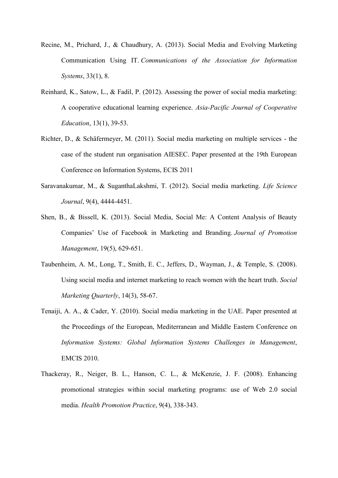- Recine, M., Prichard, J., & Chaudhury, A. (2013). Social Media and Evolving Marketing Communication Using IT. *Communications of the Association for Information Systems*, 33(1), 8.
- Reinhard, K., Satow, L., & Fadil, P. (2012). Assessing the power of social media marketing: A cooperative educational learning experience. *Asia-Pacific Journal of Cooperative Education*, 13(1), 39-53.
- Richter, D., & Schäfermeyer, M. (2011). Social media marketing on multiple services the case of the student run organisation AIESEC. Paper presented at the 19th European Conference on Information Systems, ECIS 2011
- Saravanakumar, M., & SuganthaLakshmi, T. (2012). Social media marketing. *Life Science Journal*, 9(4), 4444-4451.
- Shen, B., & Bissell, K. (2013). Social Media, Social Me: A Content Analysis of Beauty Companies' Use of Facebook in Marketing and Branding. *Journal of Promotion Management*, 19(5), 629-651.
- Taubenheim, A. M., Long, T., Smith, E. C., Jeffers, D., Wayman, J., & Temple, S. (2008). Using social media and internet marketing to reach women with the heart truth. *Social Marketing Quarterly*, 14(3), 58-67.
- Tenaiji, A. A., & Cader, Y. (2010). Social media marketing in the UAE. Paper presented at the Proceedings of the European, Mediterranean and Middle Eastern Conference on *Information Systems: Global Information Systems Challenges in Management*, EMCIS 2010.
- Thackeray, R., Neiger, B. L., Hanson, C. L., & McKenzie, J. F. (2008). Enhancing promotional strategies within social marketing programs: use of Web 2.0 social media. *Health Promotion Practice*, 9(4), 338-343.